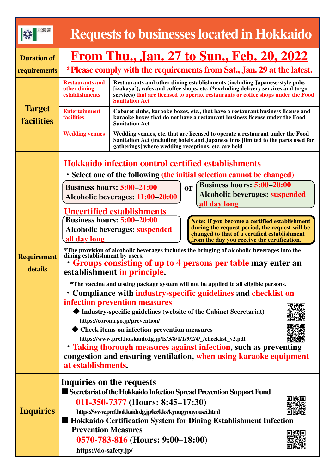| 北海道                                |                                                                                                                                                             | <b>Requests to businesses located in Hokkaido</b>                                                                                                                                                                                                                            |  |  |  |  |  |
|------------------------------------|-------------------------------------------------------------------------------------------------------------------------------------------------------------|------------------------------------------------------------------------------------------------------------------------------------------------------------------------------------------------------------------------------------------------------------------------------|--|--|--|--|--|
| <b>Duration of</b>                 | From Thu., Jan. 27 to Sun., Feb. 20, 2022                                                                                                                   |                                                                                                                                                                                                                                                                              |  |  |  |  |  |
| requirements                       | *Please comply with the requirements from Sat., Jan. 29 at the latest.                                                                                      |                                                                                                                                                                                                                                                                              |  |  |  |  |  |
| <b>Target</b><br><b>facilities</b> | <b>Restaurants and</b><br>other dining<br>establishments                                                                                                    | Restaurants and other dining establishments (including Japanese-style pubs<br>[izakaya]), cafes and coffee shops, etc. (*excluding delivery services and to-go<br>services) that are licensed to operate restaurants or coffee shops under the Food<br><b>Sanitation Act</b> |  |  |  |  |  |
|                                    | <b>Entertainment</b><br><b>facilities</b>                                                                                                                   | Cabaret clubs, karaoke boxes, etc., that have a restaurant business license and<br>karaoke boxes that do not have a restaurant business license under the Food<br><b>Sanitation Act</b>                                                                                      |  |  |  |  |  |
|                                    | <b>Wedding venues</b>                                                                                                                                       | Wedding venues, etc. that are licensed to operate a restaurant under the Food<br>Sanitation Act (including hotels and Japanese inns [limited to the parts used for<br>gatherings] where wedding receptions, etc. are held                                                    |  |  |  |  |  |
|                                    | Hokkaido infection control certified establishments                                                                                                         |                                                                                                                                                                                                                                                                              |  |  |  |  |  |
| <b>Requirement</b><br>details      | • Select one of the following (the initial selection cannot be changed)                                                                                     |                                                                                                                                                                                                                                                                              |  |  |  |  |  |
|                                    | <b>Business hours: 5:00-21:00</b>                                                                                                                           | <b>Business hours: 5:00-20:00</b>                                                                                                                                                                                                                                            |  |  |  |  |  |
|                                    | Alcoholic beverages: 11:00-20:00                                                                                                                            | <b>Alcoholic beverages: suspended</b>                                                                                                                                                                                                                                        |  |  |  |  |  |
|                                    | all day long<br><b>Uncertified establishments</b>                                                                                                           |                                                                                                                                                                                                                                                                              |  |  |  |  |  |
|                                    | <b>Business hours: 5:00-20:00</b><br>Note: If you become a certified establishment<br>during the request period, the request will be                        |                                                                                                                                                                                                                                                                              |  |  |  |  |  |
|                                    | Alcoholic beverages: suspended<br>changed to that of a certified establishment<br>all day long<br>from the day you receive the certification.               |                                                                                                                                                                                                                                                                              |  |  |  |  |  |
|                                    | *The provision of alcoholic beverages includes the bringing of alcoholic beverages into the                                                                 |                                                                                                                                                                                                                                                                              |  |  |  |  |  |
|                                    | dining establishment by users.<br>Groups consisting of up to 4 persons per table may enter an<br>establishment in principle.                                |                                                                                                                                                                                                                                                                              |  |  |  |  |  |
|                                    | *The vaccine and testing package system will not be applied to all eligible persons.                                                                        |                                                                                                                                                                                                                                                                              |  |  |  |  |  |
|                                    | • Compliance with industry-specific guidelines and checklist on<br>infection prevention measures                                                            |                                                                                                                                                                                                                                                                              |  |  |  |  |  |
|                                    | Industry-specific guidelines (website of the Cabinet Secretariat)<br>https://corona.go.jp/prevention/                                                       |                                                                                                                                                                                                                                                                              |  |  |  |  |  |
|                                    | Check items on infection prevention measures                                                                                                                |                                                                                                                                                                                                                                                                              |  |  |  |  |  |
|                                    | https://www.pref.hokkaido.lg.jp/fs/3/8/1/1/9/2/4/_/checklist_v2.pdf                                                                                         |                                                                                                                                                                                                                                                                              |  |  |  |  |  |
|                                    | • Taking thorough measures against infection, such as preventing<br>congestion and ensuring ventilation, when using karaoke equipment<br>at establishments. |                                                                                                                                                                                                                                                                              |  |  |  |  |  |
| <b>Inquiries</b>                   | Inquiries on the requests                                                                                                                                   |                                                                                                                                                                                                                                                                              |  |  |  |  |  |
|                                    | Secretariat of the Hokkaido Infection Spread Prevention Support Fund                                                                                        |                                                                                                                                                                                                                                                                              |  |  |  |  |  |
|                                    | 011-350-7377 (Hours: 8:45–17:30)                                                                                                                            |                                                                                                                                                                                                                                                                              |  |  |  |  |  |
|                                    | https://www.pref.hokkaido.lg.jp/kz/kks/kyuugyouyousei.html<br><b>Hokkaido Certification System for Dining Establishment Infection</b>                       |                                                                                                                                                                                                                                                                              |  |  |  |  |  |
|                                    | <b>Prevention Measures</b>                                                                                                                                  |                                                                                                                                                                                                                                                                              |  |  |  |  |  |
|                                    | 0570-783-816 (Hours: 9:00–18:00)<br>https://do-safety.jp/                                                                                                   |                                                                                                                                                                                                                                                                              |  |  |  |  |  |